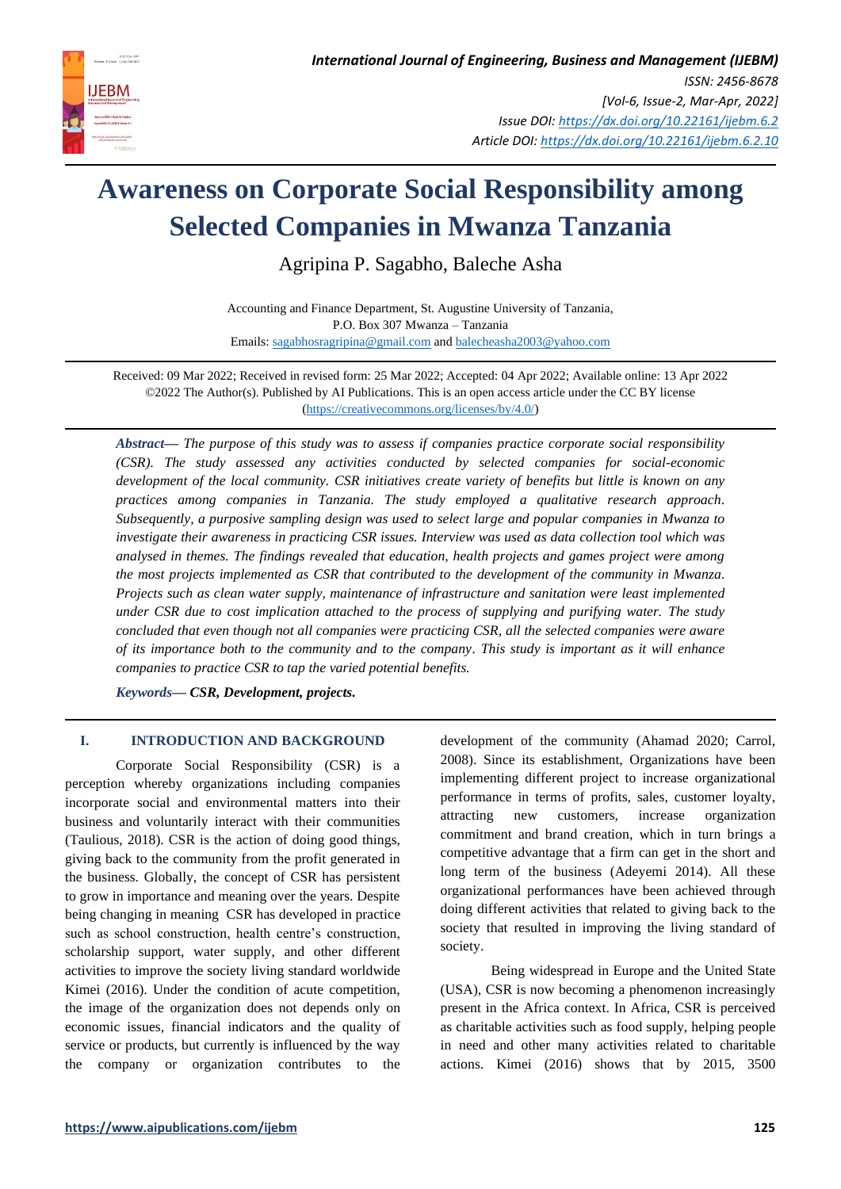

# **Awareness on Corporate Social Responsibility among Selected Companies in Mwanza Tanzania**

Agripina P. Sagabho, Baleche Asha

Accounting and Finance Department, St. Augustine University of Tanzania, P.O. Box 307 Mwanza – Tanzania Emails: [sagabhosragripina@gmail.com](mailto:sagabhosragripina@gmail.com) an[d balecheasha2003@yahoo.com](mailto:balecheasha2003@yahoo.com)

Received: 09 Mar 2022; Received in revised form: 25 Mar 2022; Accepted: 04 Apr 2022; Available online: 13 Apr 2022 ©2022 The Author(s). Published by AI Publications. This is an open access article under the CC BY license [\(https://creativecommons.org/licenses/by/4.0/\)](https://creativecommons.org/licenses/by/4.0/)

*Abstract— The purpose of this study was to assess if companies practice corporate social responsibility (CSR). The study assessed any activities conducted by selected companies for social-economic development of the local community. CSR initiatives create variety of benefits but little is known on any practices among companies in Tanzania. The study employed a qualitative research approach. Subsequently, a purposive sampling design was used to select large and popular companies in Mwanza to investigate their awareness in practicing CSR issues. Interview was used as data collection tool which was analysed in themes. The findings revealed that education, health projects and games project were among the most projects implemented as CSR that contributed to the development of the community in Mwanza. Projects such as clean water supply, maintenance of infrastructure and sanitation were least implemented under CSR due to cost implication attached to the process of supplying and purifying water. The study concluded that even though not all companies were practicing CSR, all the selected companies were aware of its importance both to the community and to the company. This study is important as it will enhance companies to practice CSR to tap the varied potential benefits.*

*Keywords— CSR, Development, projects.*

## **I. INTRODUCTION AND BACKGROUND**

Corporate Social Responsibility (CSR) is a perception whereby organizations including companies incorporate social and environmental matters into their business and voluntarily interact with their communities (Taulious, 2018). CSR is the action of doing good things, giving back to the community from the profit generated in the business. Globally, the concept of CSR has persistent to grow in importance and meaning over the years. Despite being changing in meaning CSR has developed in practice such as school construction, health centre's construction, scholarship support, water supply, and other different activities to improve the society living standard worldwide Kimei (2016). Under the condition of acute competition, the image of the organization does not depends only on economic issues, financial indicators and the quality of service or products, but currently is influenced by the way the company or organization contributes to the development of the community (Ahamad 2020; Carrol, 2008). Since its establishment, Organizations have been implementing different project to increase organizational performance in terms of profits, sales, customer loyalty, attracting new customers, increase organization commitment and brand creation, which in turn brings a competitive advantage that a firm can get in the short and long term of the business (Adeyemi 2014). All these organizational performances have been achieved through doing different activities that related to giving back to the society that resulted in improving the living standard of society.

Being widespread in Europe and the United State (USA), CSR is now becoming a phenomenon increasingly present in the Africa context. In Africa, CSR is perceived as charitable activities such as food supply, helping people in need and other many activities related to charitable actions. Kimei (2016) shows that by 2015, 3500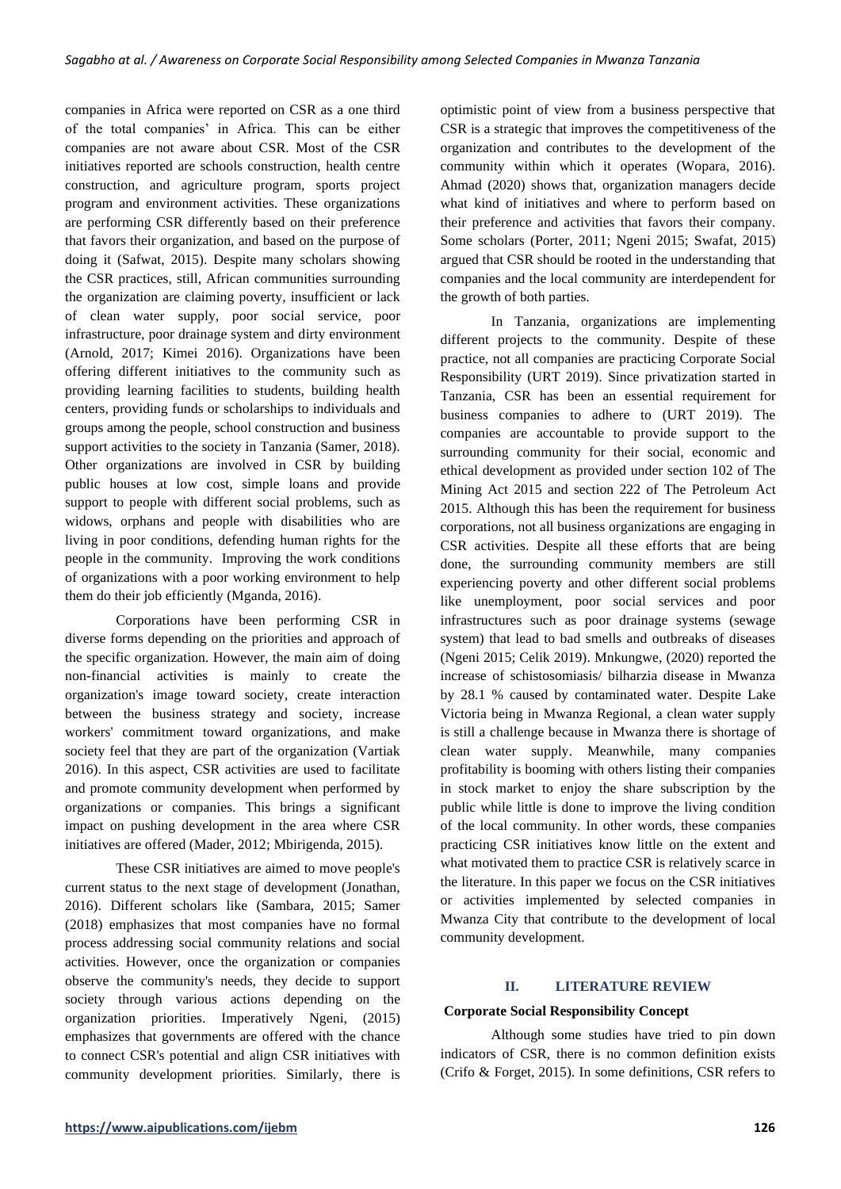companies in Africa were reported on CSR as a one third of the total companies' in Africa. This can be either companies are not aware about CSR. Most of the CSR initiatives reported are schools construction, health centre construction, and agriculture program, sports project program and environment activities. These organizations are performing CSR differently based on their preference that favors their organization, and based on the purpose of doing it (Safwat, 2015). Despite many scholars showing the CSR practices, still, African communities surrounding the organization are claiming poverty, insufficient or lack of clean water supply, poor social service, poor infrastructure, poor drainage system and dirty environment (Arnold, 2017; Kimei 2016). Organizations have been offering different initiatives to the community such as providing learning facilities to students, building health centers, providing funds or scholarships to individuals and groups among the people, school construction and business support activities to the society in Tanzania (Samer, 2018). Other organizations are involved in CSR by building public houses at low cost, simple loans and provide support to people with different social problems, such as widows, orphans and people with disabilities who are living in poor conditions, defending human rights for the people in the community. Improving the work conditions of organizations with a poor working environment to help them do their job efficiently (Mganda, 2016).

Corporations have been performing CSR in diverse forms depending on the priorities and approach of the specific organization. However, the main aim of doing non-financial activities is mainly to create the organization's image toward society, create interaction between the business strategy and society, increase workers' commitment toward organizations, and make society feel that they are part of the organization (Vartiak 2016). In this aspect, CSR activities are used to facilitate and promote community development when performed by organizations or companies. This brings a significant impact on pushing development in the area where CSR initiatives are offered (Mader, 2012; Mbirigenda, 2015).

These CSR initiatives are aimed to move people's current status to the next stage of development (Jonathan, 2016). Different scholars like (Sambara, 2015; Samer (2018) emphasizes that most companies have no formal process addressing social community relations and social activities. However, once the organization or companies observe the community's needs, they decide to support society through various actions depending on the organization priorities. Imperatively Ngeni, (2015) emphasizes that governments are offered with the chance to connect CSR's potential and align CSR initiatives with community development priorities. Similarly, there is

optimistic point of view from a business perspective that CSR is a strategic that improves the competitiveness of the organization and contributes to the development of the community within which it operates (Wopara, 2016). Ahmad (2020) shows that, organization managers decide what kind of initiatives and where to perform based on their preference and activities that favors their company. Some scholars (Porter, 2011; Ngeni 2015; Swafat, 2015) argued that CSR should be rooted in the understanding that companies and the local community are interdependent for the growth of both parties.

In Tanzania, organizations are implementing different projects to the community. Despite of these practice, not all companies are practicing Corporate Social Responsibility (URT 2019). Since privatization started in Tanzania, CSR has been an essential requirement for business companies to adhere to (URT 2019). The companies are accountable to provide support to the surrounding community for their social, economic and ethical development as provided under section 102 of The Mining Act 2015 and section 222 of The Petroleum Act 2015. Although this has been the requirement for business corporations, not all business organizations are engaging in CSR activities. Despite all these efforts that are being done, the surrounding community members are still experiencing poverty and other different social problems like unemployment, poor social services and poor infrastructures such as poor drainage systems (sewage system) that lead to bad smells and outbreaks of diseases (Ngeni 2015; Celik 2019). Mnkungwe, (2020) reported the increase of schistosomiasis/ bilharzia disease in Mwanza by 28.1 % caused by contaminated water. Despite Lake Victoria being in Mwanza Regional, a clean water supply is still a challenge because in Mwanza there is shortage of clean water supply. Meanwhile, many companies profitability is booming with others listing their companies in stock market to enjoy the share subscription by the public while little is done to improve the living condition of the local community. In other words, these companies practicing CSR initiatives know little on the extent and what motivated them to practice CSR is relatively scarce in the literature. In this paper we focus on the CSR initiatives or activities implemented by selected companies in Mwanza City that contribute to the development of local community development.

### **II. LITERATURE REVIEW**

### **Corporate Social Responsibility Concept**

Although some studies have tried to pin down indicators of CSR, there is no common definition exists (Crifo & Forget, 2015). In some definitions, CSR refers to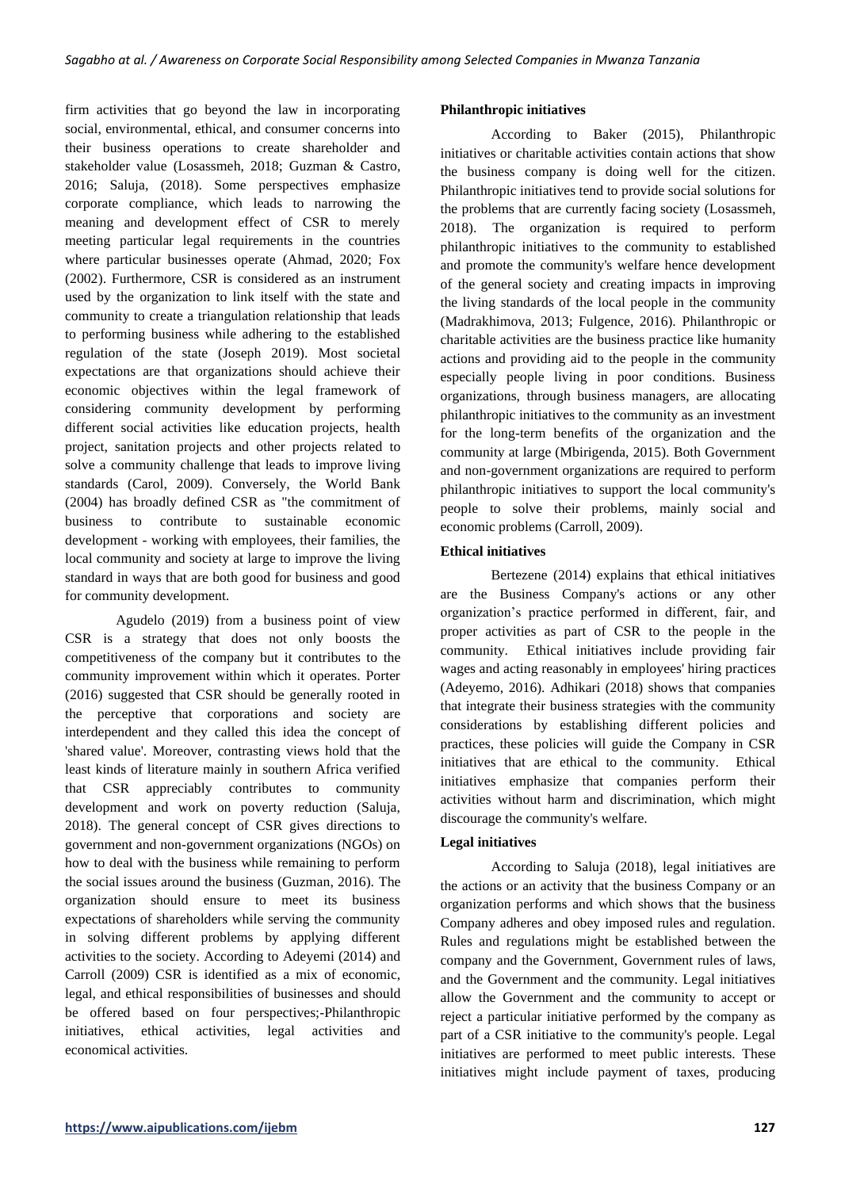firm activities that go beyond the law in incorporating social, environmental, ethical, and consumer concerns into their business operations to create shareholder and stakeholder value (Losassmeh, 2018; Guzman & Castro, 2016; Saluja, (2018). Some perspectives emphasize corporate compliance, which leads to narrowing the meaning and development effect of CSR to merely meeting particular legal requirements in the countries where particular businesses operate (Ahmad, 2020; Fox (2002). Furthermore, CSR is considered as an instrument used by the organization to link itself with the state and community to create a triangulation relationship that leads to performing business while adhering to the established regulation of the state (Joseph 2019). Most societal expectations are that organizations should achieve their economic objectives within the legal framework of considering community development by performing different social activities like education projects, health project, sanitation projects and other projects related to solve a community challenge that leads to improve living standards (Carol, 2009). Conversely, the World Bank (2004) has broadly defined CSR as "the commitment of business to contribute to sustainable economic development - working with employees, their families, the local community and society at large to improve the living standard in ways that are both good for business and good for community development.

Agudelo (2019) from a business point of view CSR is a strategy that does not only boosts the competitiveness of the company but it contributes to the community improvement within which it operates. Porter (2016) suggested that CSR should be generally rooted in the perceptive that corporations and society are interdependent and they called this idea the concept of 'shared value'. Moreover, contrasting views hold that the least kinds of literature mainly in southern Africa verified that CSR appreciably contributes to community development and work on poverty reduction (Saluja, 2018). The general concept of CSR gives directions to government and non-government organizations (NGOs) on how to deal with the business while remaining to perform the social issues around the business (Guzman, 2016). The organization should ensure to meet its business expectations of shareholders while serving the community in solving different problems by applying different activities to the society. According to Adeyemi (2014) and Carroll (2009) CSR is identified as a mix of economic, legal, and ethical responsibilities of businesses and should be offered based on four perspectives;-Philanthropic initiatives, ethical activities, legal activities and economical activities.

## **Philanthropic initiatives**

According to Baker (2015), Philanthropic initiatives or charitable activities contain actions that show the business company is doing well for the citizen. Philanthropic initiatives tend to provide social solutions for the problems that are currently facing society (Losassmeh, 2018). The organization is required to perform philanthropic initiatives to the community to established and promote the community's welfare hence development of the general society and creating impacts in improving the living standards of the local people in the community (Madrakhimova, 2013; Fulgence, 2016). Philanthropic or charitable activities are the business practice like humanity actions and providing aid to the people in the community especially people living in poor conditions. Business organizations, through business managers, are allocating philanthropic initiatives to the community as an investment for the long-term benefits of the organization and the community at large (Mbirigenda, 2015). Both Government and non-government organizations are required to perform philanthropic initiatives to support the local community's people to solve their problems, mainly social and economic problems (Carroll, 2009).

## **Ethical initiatives**

Bertezene (2014) explains that ethical initiatives are the Business Company's actions or any other organization's practice performed in different, fair, and proper activities as part of CSR to the people in the community. Ethical initiatives include providing fair wages and acting reasonably in employees' hiring practices (Adeyemo, 2016). Adhikari (2018) shows that companies that integrate their business strategies with the community considerations by establishing different policies and practices, these policies will guide the Company in CSR initiatives that are ethical to the community. Ethical initiatives emphasize that companies perform their activities without harm and discrimination, which might discourage the community's welfare.

### **Legal initiatives**

According to Saluja (2018), legal initiatives are the actions or an activity that the business Company or an organization performs and which shows that the business Company adheres and obey imposed rules and regulation. Rules and regulations might be established between the company and the Government, Government rules of laws, and the Government and the community. Legal initiatives allow the Government and the community to accept or reject a particular initiative performed by the company as part of a CSR initiative to the community's people. Legal initiatives are performed to meet public interests. These initiatives might include payment of taxes, producing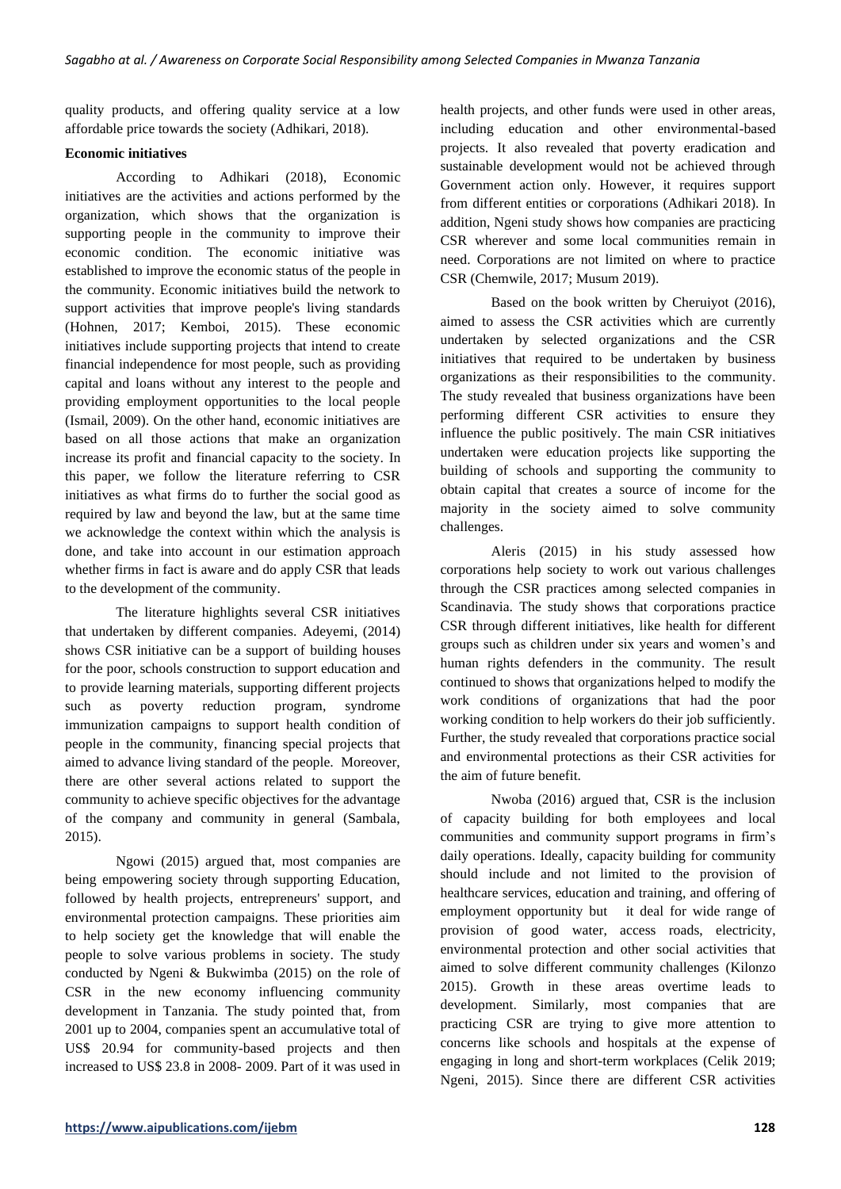quality products, and offering quality service at a low affordable price towards the society (Adhikari, 2018).

## **Economic initiatives**

According to Adhikari (2018), Economic initiatives are the activities and actions performed by the organization, which shows that the organization is supporting people in the community to improve their economic condition. The economic initiative was established to improve the economic status of the people in the community. Economic initiatives build the network to support activities that improve people's living standards (Hohnen, 2017; Kemboi, 2015). These economic initiatives include supporting projects that intend to create financial independence for most people, such as providing capital and loans without any interest to the people and providing employment opportunities to the local people (Ismail, 2009). On the other hand, economic initiatives are based on all those actions that make an organization increase its profit and financial capacity to the society. In this paper, we follow the literature referring to CSR initiatives as what firms do to further the social good as required by law and beyond the law, but at the same time we acknowledge the context within which the analysis is done, and take into account in our estimation approach whether firms in fact is aware and do apply CSR that leads to the development of the community.

The literature highlights several CSR initiatives that undertaken by different companies. Adeyemi, (2014) shows CSR initiative can be a support of building houses for the poor, schools construction to support education and to provide learning materials, supporting different projects such as poverty reduction program, syndrome immunization campaigns to support health condition of people in the community, financing special projects that aimed to advance living standard of the people. Moreover, there are other several actions related to support the community to achieve specific objectives for the advantage of the company and community in general (Sambala, 2015).

Ngowi (2015) argued that, most companies are being empowering society through supporting Education, followed by health projects, entrepreneurs' support, and environmental protection campaigns. These priorities aim to help society get the knowledge that will enable the people to solve various problems in society. The study conducted by Ngeni & Bukwimba (2015) on the role of CSR in the new economy influencing community development in Tanzania. The study pointed that, from 2001 up to 2004, companies spent an accumulative total of US\$ 20.94 for community-based projects and then increased to US\$ 23.8 in 2008- 2009. Part of it was used in health projects, and other funds were used in other areas, including education and other environmental-based projects. It also revealed that poverty eradication and sustainable development would not be achieved through Government action only. However, it requires support from different entities or corporations (Adhikari 2018). In addition, Ngeni study shows how companies are practicing CSR wherever and some local communities remain in need. Corporations are not limited on where to practice CSR (Chemwile, 2017; Musum 2019).

Based on the book written by Cheruiyot (2016), aimed to assess the CSR activities which are currently undertaken by selected organizations and the CSR initiatives that required to be undertaken by business organizations as their responsibilities to the community. The study revealed that business organizations have been performing different CSR activities to ensure they influence the public positively. The main CSR initiatives undertaken were education projects like supporting the building of schools and supporting the community to obtain capital that creates a source of income for the majority in the society aimed to solve community challenges.

Aleris (2015) in his study assessed how corporations help society to work out various challenges through the CSR practices among selected companies in Scandinavia. The study shows that corporations practice CSR through different initiatives, like health for different groups such as children under six years and women's and human rights defenders in the community. The result continued to shows that organizations helped to modify the work conditions of organizations that had the poor working condition to help workers do their job sufficiently. Further, the study revealed that corporations practice social and environmental protections as their CSR activities for the aim of future benefit.

Nwoba (2016) argued that, CSR is the inclusion of capacity building for both employees and local communities and community support programs in firm's daily operations. Ideally, capacity building for community should include and not limited to the provision of healthcare services, education and training, and offering of employment opportunity but it deal for wide range of provision of good water, access roads, electricity, environmental protection and other social activities that aimed to solve different community challenges (Kilonzo 2015). Growth in these areas overtime leads to development. Similarly, most companies that are practicing CSR are trying to give more attention to concerns like schools and hospitals at the expense of engaging in long and short-term workplaces (Celik 2019; Ngeni, 2015). Since there are different CSR activities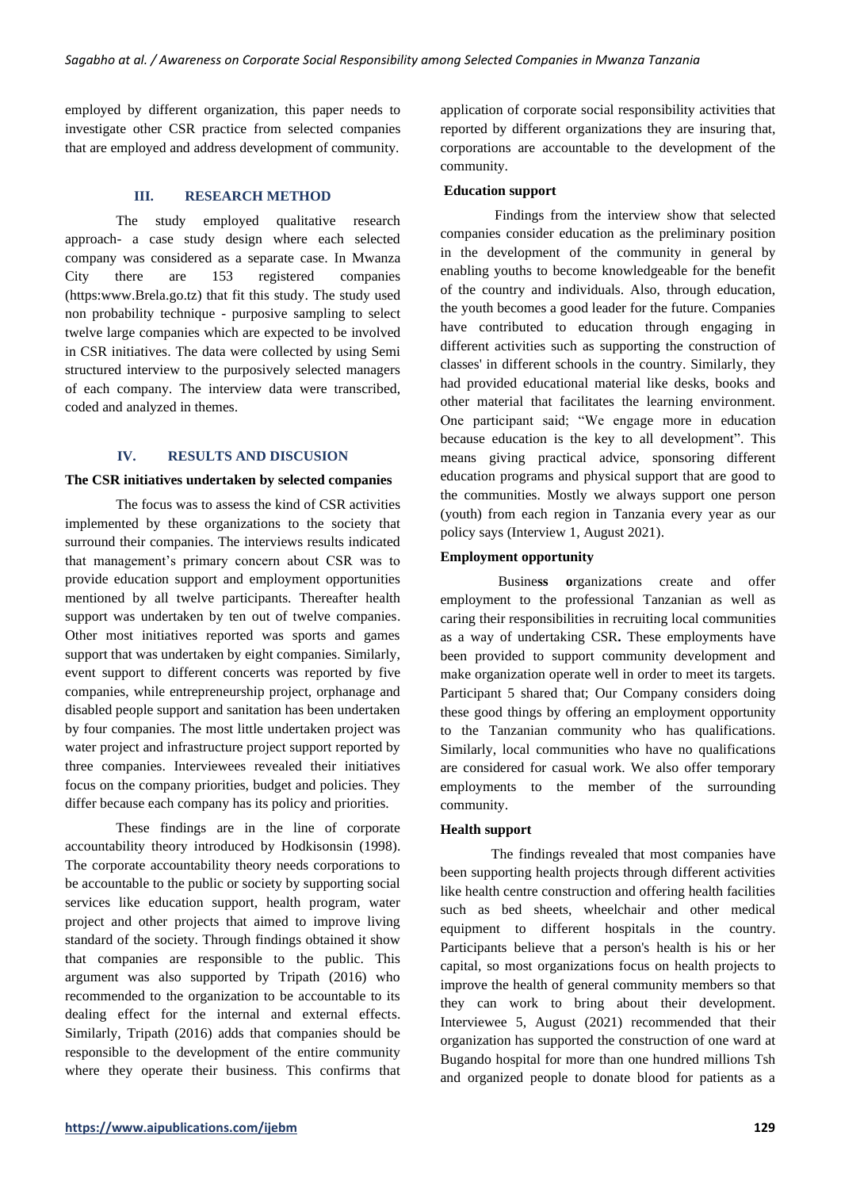employed by different organization, this paper needs to investigate other CSR practice from selected companies that are employed and address development of community.

## **III. RESEARCH METHOD**

The study employed qualitative research approach- a case study design where each selected company was considered as a separate case. In Mwanza City there are 153 registered companies (https:www.Brela.go.tz) that fit this study. The study used non probability technique - purposive sampling to select twelve large companies which are expected to be involved in CSR initiatives. The data were collected by using Semi structured interview to the purposively selected managers of each company. The interview data were transcribed, coded and analyzed in themes.

#### **IV. RESULTS AND DISCUSION**

#### **The CSR initiatives undertaken by selected companies**

The focus was to assess the kind of CSR activities implemented by these organizations to the society that surround their companies. The interviews results indicated that management's primary concern about CSR was to provide education support and employment opportunities mentioned by all twelve participants. Thereafter health support was undertaken by ten out of twelve companies. Other most initiatives reported was sports and games support that was undertaken by eight companies. Similarly, event support to different concerts was reported by five companies, while entrepreneurship project, orphanage and disabled people support and sanitation has been undertaken by four companies. The most little undertaken project was water project and infrastructure project support reported by three companies. Interviewees revealed their initiatives focus on the company priorities, budget and policies. They differ because each company has its policy and priorities.

These findings are in the line of corporate accountability theory introduced by Hodkisonsin (1998). The corporate accountability theory needs corporations to be accountable to the public or society by supporting social services like education support, health program, water project and other projects that aimed to improve living standard of the society. Through findings obtained it show that companies are responsible to the public. This argument was also supported by Tripath (2016) who recommended to the organization to be accountable to its dealing effect for the internal and external effects. Similarly, Tripath (2016) adds that companies should be responsible to the development of the entire community where they operate their business. This confirms that application of corporate social responsibility activities that reported by different organizations they are insuring that, corporations are accountable to the development of the community.

#### **Education support**

Findings from the interview show that selected companies consider education as the preliminary position in the development of the community in general by enabling youths to become knowledgeable for the benefit of the country and individuals. Also, through education, the youth becomes a good leader for the future. Companies have contributed to education through engaging in different activities such as supporting the construction of classes' in different schools in the country. Similarly, they had provided educational material like desks, books and other material that facilitates the learning environment. One participant said; "We engage more in education because education is the key to all development". This means giving practical advice, sponsoring different education programs and physical support that are good to the communities. Mostly we always support one person (youth) from each region in Tanzania every year as our policy says (Interview 1, August 2021).

### **Employment opportunity**

Busine**ss o**rganizations create and offer employment to the professional Tanzanian as well as caring their responsibilities in recruiting local communities as a way of undertaking CSR**.** These employments have been provided to support community development and make organization operate well in order to meet its targets. Participant 5 shared that; Our Company considers doing these good things by offering an employment opportunity to the Tanzanian community who has qualifications. Similarly, local communities who have no qualifications are considered for casual work. We also offer temporary employments to the member of the surrounding community.

#### **Health support**

The findings revealed that most companies have been supporting health projects through different activities like health centre construction and offering health facilities such as bed sheets, wheelchair and other medical equipment to different hospitals in the country. Participants believe that a person's health is his or her capital, so most organizations focus on health projects to improve the health of general community members so that they can work to bring about their development. Interviewee 5, August (2021) recommended that their organization has supported the construction of one ward at Bugando hospital for more than one hundred millions Tsh and organized people to donate blood for patients as a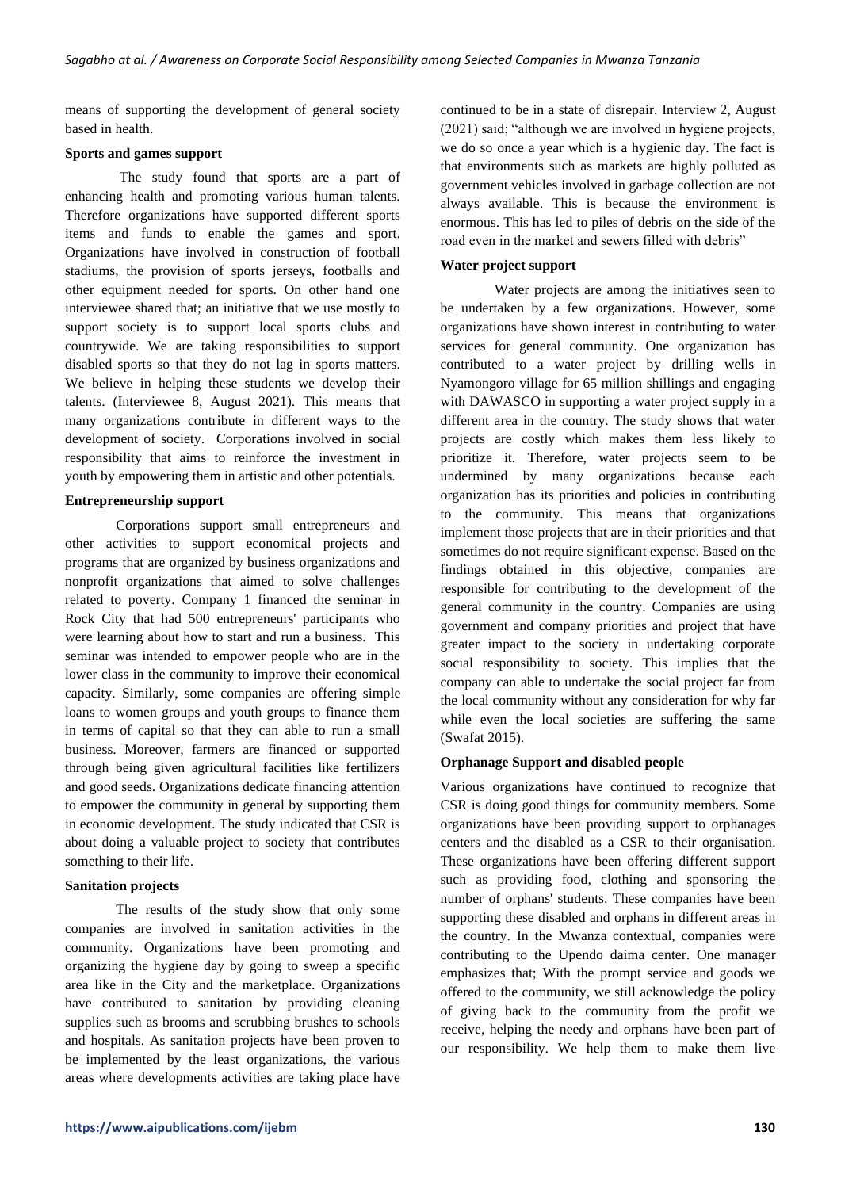means of supporting the development of general society based in health.

#### **Sports and games support**

The study found that sports are a part of enhancing health and promoting various human talents. Therefore organizations have supported different sports items and funds to enable the games and sport. Organizations have involved in construction of football stadiums, the provision of sports jerseys, footballs and other equipment needed for sports. On other hand one interviewee shared that; an initiative that we use mostly to support society is to support local sports clubs and countrywide. We are taking responsibilities to support disabled sports so that they do not lag in sports matters. We believe in helping these students we develop their talents. (Interviewee 8, August 2021). This means that many organizations contribute in different ways to the development of society. Corporations involved in social responsibility that aims to reinforce the investment in youth by empowering them in artistic and other potentials.

### **Entrepreneurship support**

Corporations support small entrepreneurs and other activities to support economical projects and programs that are organized by business organizations and nonprofit organizations that aimed to solve challenges related to poverty. Company 1 financed the seminar in Rock City that had 500 entrepreneurs' participants who were learning about how to start and run a business. This seminar was intended to empower people who are in the lower class in the community to improve their economical capacity. Similarly, some companies are offering simple loans to women groups and youth groups to finance them in terms of capital so that they can able to run a small business. Moreover, farmers are financed or supported through being given agricultural facilities like fertilizers and good seeds. Organizations dedicate financing attention to empower the community in general by supporting them in economic development. The study indicated that CSR is about doing a valuable project to society that contributes something to their life.

### **Sanitation projects**

The results of the study show that only some companies are involved in sanitation activities in the community. Organizations have been promoting and organizing the hygiene day by going to sweep a specific area like in the City and the marketplace. Organizations have contributed to sanitation by providing cleaning supplies such as brooms and scrubbing brushes to schools and hospitals. As sanitation projects have been proven to be implemented by the least organizations, the various areas where developments activities are taking place have continued to be in a state of disrepair. Interview 2, August (2021) said; "although we are involved in hygiene projects, we do so once a year which is a hygienic day. The fact is that environments such as markets are highly polluted as government vehicles involved in garbage collection are not always available. This is because the environment is enormous. This has led to piles of debris on the side of the road even in the market and sewers filled with debris"

### **Water project support**

Water projects are among the initiatives seen to be undertaken by a few organizations. However, some organizations have shown interest in contributing to water services for general community. One organization has contributed to a water project by drilling wells in Nyamongoro village for 65 million shillings and engaging with DAWASCO in supporting a water project supply in a different area in the country. The study shows that water projects are costly which makes them less likely to prioritize it. Therefore, water projects seem to be undermined by many organizations because each organization has its priorities and policies in contributing to the community. This means that organizations implement those projects that are in their priorities and that sometimes do not require significant expense. Based on the findings obtained in this objective, companies are responsible for contributing to the development of the general community in the country. Companies are using government and company priorities and project that have greater impact to the society in undertaking corporate social responsibility to society. This implies that the company can able to undertake the social project far from the local community without any consideration for why far while even the local societies are suffering the same (Swafat 2015).

### **Orphanage Support and disabled people**

Various organizations have continued to recognize that CSR is doing good things for community members. Some organizations have been providing support to orphanages centers and the disabled as a CSR to their organisation. These organizations have been offering different support such as providing food, clothing and sponsoring the number of orphans' students. These companies have been supporting these disabled and orphans in different areas in the country. In the Mwanza contextual, companies were contributing to the Upendo daima center. One manager emphasizes that; With the prompt service and goods we offered to the community, we still acknowledge the policy of giving back to the community from the profit we receive, helping the needy and orphans have been part of our responsibility. We help them to make them live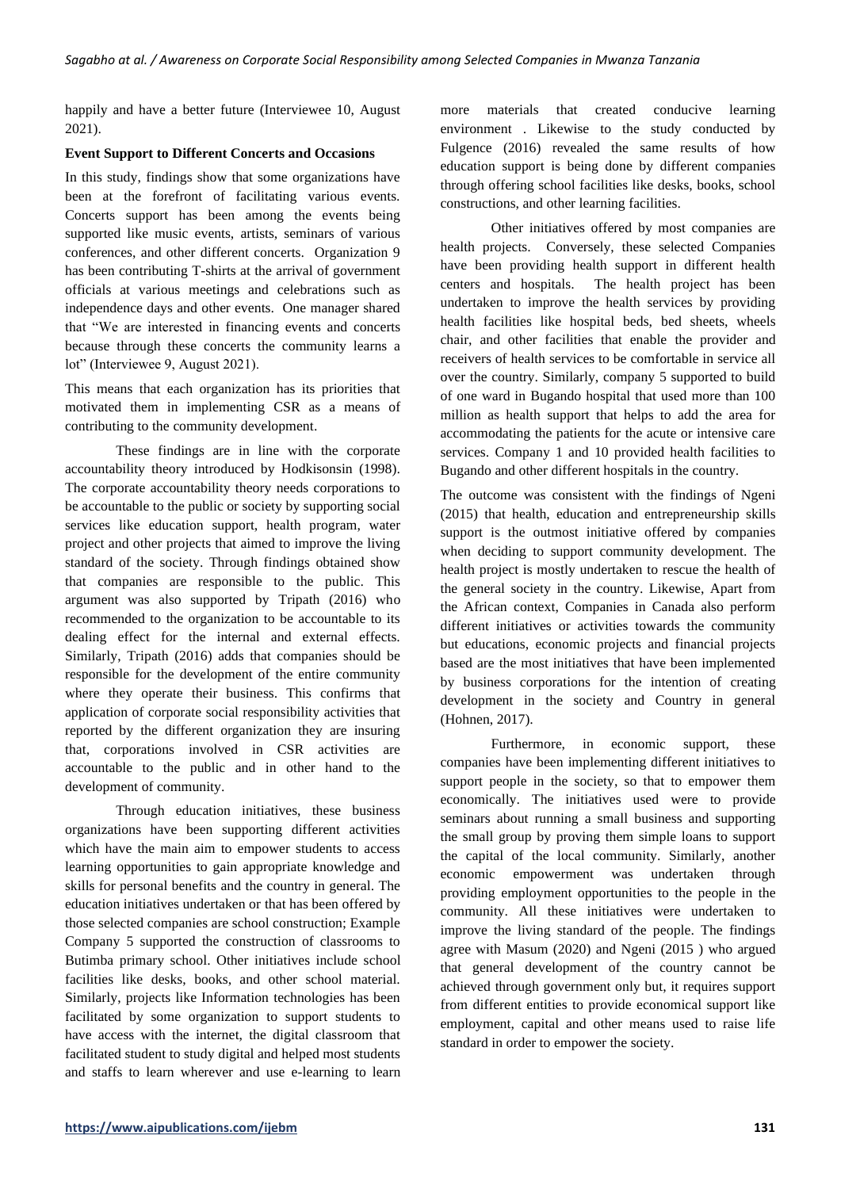happily and have a better future (Interviewee 10, August 2021).

### **Event Support to Different Concerts and Occasions**

In this study, findings show that some organizations have been at the forefront of facilitating various events. Concerts support has been among the events being supported like music events, artists, seminars of various conferences, and other different concerts. Organization 9 has been contributing T-shirts at the arrival of government officials at various meetings and celebrations such as independence days and other events. One manager shared that "We are interested in financing events and concerts because through these concerts the community learns a lot" (Interviewee 9, August 2021).

This means that each organization has its priorities that motivated them in implementing CSR as a means of contributing to the community development.

These findings are in line with the corporate accountability theory introduced by Hodkisonsin (1998). The corporate accountability theory needs corporations to be accountable to the public or society by supporting social services like education support, health program, water project and other projects that aimed to improve the living standard of the society. Through findings obtained show that companies are responsible to the public. This argument was also supported by Tripath (2016) who recommended to the organization to be accountable to its dealing effect for the internal and external effects. Similarly, Tripath (2016) adds that companies should be responsible for the development of the entire community where they operate their business. This confirms that application of corporate social responsibility activities that reported by the different organization they are insuring that, corporations involved in CSR activities are accountable to the public and in other hand to the development of community.

Through education initiatives, these business organizations have been supporting different activities which have the main aim to empower students to access learning opportunities to gain appropriate knowledge and skills for personal benefits and the country in general. The education initiatives undertaken or that has been offered by those selected companies are school construction; Example Company 5 supported the construction of classrooms to Butimba primary school. Other initiatives include school facilities like desks, books, and other school material. Similarly, projects like Information technologies has been facilitated by some organization to support students to have access with the internet, the digital classroom that facilitated student to study digital and helped most students and staffs to learn wherever and use e-learning to learn more materials that created conducive learning environment . Likewise to the study conducted by Fulgence (2016) revealed the same results of how education support is being done by different companies through offering school facilities like desks, books, school constructions, and other learning facilities.

Other initiatives offered by most companies are health projects. Conversely, these selected Companies have been providing health support in different health centers and hospitals. The health project has been undertaken to improve the health services by providing health facilities like hospital beds, bed sheets, wheels chair, and other facilities that enable the provider and receivers of health services to be comfortable in service all over the country. Similarly, company 5 supported to build of one ward in Bugando hospital that used more than 100 million as health support that helps to add the area for accommodating the patients for the acute or intensive care services. Company 1 and 10 provided health facilities to Bugando and other different hospitals in the country.

The outcome was consistent with the findings of Ngeni (2015) that health, education and entrepreneurship skills support is the outmost initiative offered by companies when deciding to support community development. The health project is mostly undertaken to rescue the health of the general society in the country. Likewise, Apart from the African context, Companies in Canada also perform different initiatives or activities towards the community but educations, economic projects and financial projects based are the most initiatives that have been implemented by business corporations for the intention of creating development in the society and Country in general (Hohnen, 2017).

Furthermore, in economic support, these companies have been implementing different initiatives to support people in the society, so that to empower them economically. The initiatives used were to provide seminars about running a small business and supporting the small group by proving them simple loans to support the capital of the local community. Similarly, another economic empowerment was undertaken through providing employment opportunities to the people in the community. All these initiatives were undertaken to improve the living standard of the people. The findings agree with Masum (2020) and Ngeni (2015 ) who argued that general development of the country cannot be achieved through government only but, it requires support from different entities to provide economical support like employment, capital and other means used to raise life standard in order to empower the society.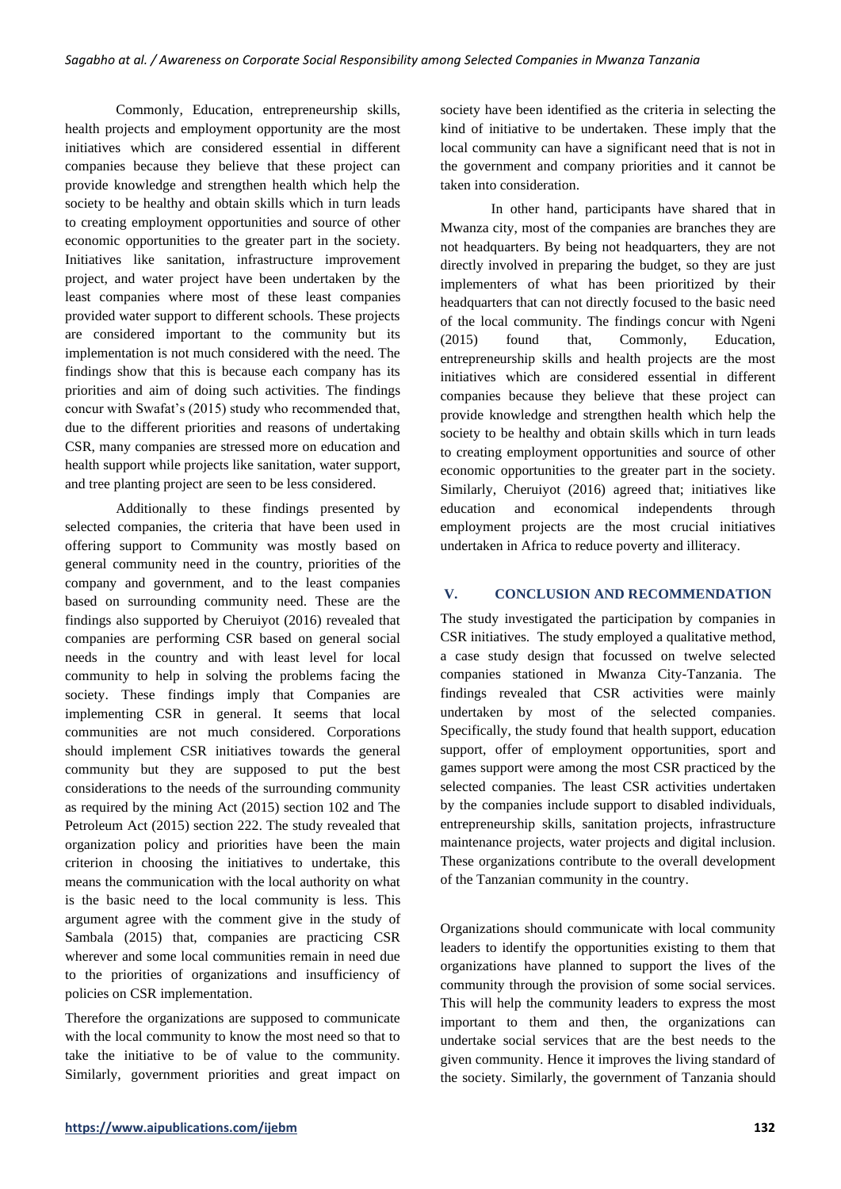Commonly, Education, entrepreneurship skills, health projects and employment opportunity are the most initiatives which are considered essential in different companies because they believe that these project can provide knowledge and strengthen health which help the society to be healthy and obtain skills which in turn leads to creating employment opportunities and source of other economic opportunities to the greater part in the society. Initiatives like sanitation, infrastructure improvement project, and water project have been undertaken by the least companies where most of these least companies provided water support to different schools. These projects are considered important to the community but its implementation is not much considered with the need. The findings show that this is because each company has its priorities and aim of doing such activities. The findings concur with Swafat's (2015) study who recommended that, due to the different priorities and reasons of undertaking CSR, many companies are stressed more on education and health support while projects like sanitation, water support, and tree planting project are seen to be less considered.

Additionally to these findings presented by selected companies, the criteria that have been used in offering support to Community was mostly based on general community need in the country, priorities of the company and government, and to the least companies based on surrounding community need. These are the findings also supported by Cheruiyot (2016) revealed that companies are performing CSR based on general social needs in the country and with least level for local community to help in solving the problems facing the society. These findings imply that Companies are implementing CSR in general. It seems that local communities are not much considered. Corporations should implement CSR initiatives towards the general community but they are supposed to put the best considerations to the needs of the surrounding community as required by the mining Act (2015) section 102 and The Petroleum Act (2015) section 222. The study revealed that organization policy and priorities have been the main criterion in choosing the initiatives to undertake, this means the communication with the local authority on what is the basic need to the local community is less. This argument agree with the comment give in the study of Sambala (2015) that, companies are practicing CSR wherever and some local communities remain in need due to the priorities of organizations and insufficiency of policies on CSR implementation.

Therefore the organizations are supposed to communicate with the local community to know the most need so that to take the initiative to be of value to the community. Similarly, government priorities and great impact on society have been identified as the criteria in selecting the kind of initiative to be undertaken. These imply that the local community can have a significant need that is not in the government and company priorities and it cannot be taken into consideration.

In other hand, participants have shared that in Mwanza city, most of the companies are branches they are not headquarters. By being not headquarters, they are not directly involved in preparing the budget, so they are just implementers of what has been prioritized by their headquarters that can not directly focused to the basic need of the local community. The findings concur with Ngeni (2015) found that, Commonly, Education, entrepreneurship skills and health projects are the most initiatives which are considered essential in different companies because they believe that these project can provide knowledge and strengthen health which help the society to be healthy and obtain skills which in turn leads to creating employment opportunities and source of other economic opportunities to the greater part in the society. Similarly, Cheruiyot (2016) agreed that; initiatives like education and economical independents through employment projects are the most crucial initiatives undertaken in Africa to reduce poverty and illiteracy.

# **V. CONCLUSION AND RECOMMENDATION**

The study investigated the participation by companies in CSR initiatives. The study employed a qualitative method, a case study design that focussed on twelve selected companies stationed in Mwanza City-Tanzania. The findings revealed that CSR activities were mainly undertaken by most of the selected companies. Specifically, the study found that health support, education support, offer of employment opportunities, sport and games support were among the most CSR practiced by the selected companies. The least CSR activities undertaken by the companies include support to disabled individuals, entrepreneurship skills, sanitation projects, infrastructure maintenance projects, water projects and digital inclusion. These organizations contribute to the overall development of the Tanzanian community in the country.

Organizations should communicate with local community leaders to identify the opportunities existing to them that organizations have planned to support the lives of the community through the provision of some social services. This will help the community leaders to express the most important to them and then, the organizations can undertake social services that are the best needs to the given community. Hence it improves the living standard of the society. Similarly, the government of Tanzania should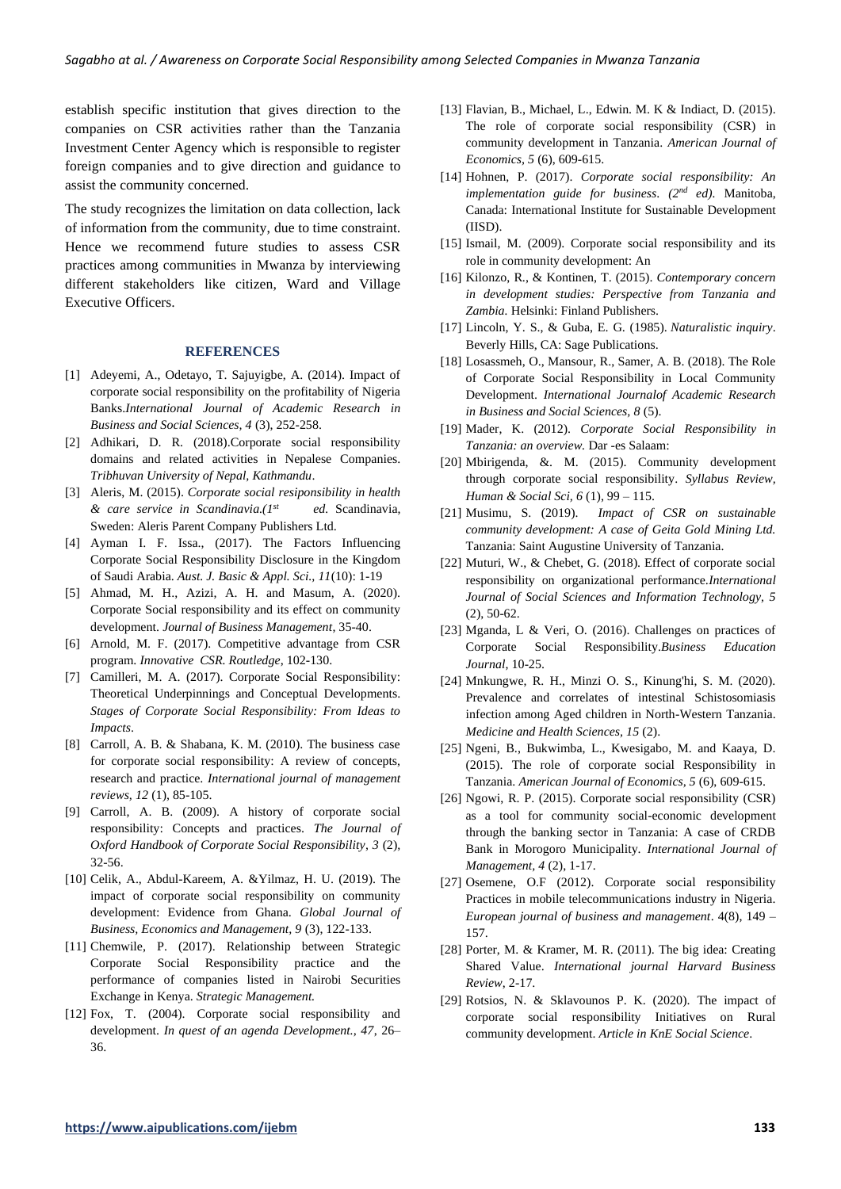establish specific institution that gives direction to the companies on CSR activities rather than the Tanzania Investment Center Agency which is responsible to register foreign companies and to give direction and guidance to assist the community concerned.

The study recognizes the limitation on data collection, lack of information from the community, due to time constraint. Hence we recommend future studies to assess CSR practices among communities in Mwanza by interviewing different stakeholders like citizen, Ward and Village Executive Officers.

## **REFERENCES**

- [1] Adeyemi, A., Odetayo, T. Sajuyigbe, A. (2014). Impact of corporate social responsibility on the profitability of Nigeria Banks.*International Journal of Academic Research in Business and Social Sciences, 4* (3), 252-258.
- [2] Adhikari, D. R. (2018).Corporate social responsibility domains and related activities in Nepalese Companies. *Tribhuvan University of Nepal, Kathmandu*.
- [3] Aleris, M. (2015). *Corporate social resiponsibility in health & care service in Scandinavia.(1st ed.* Scandinavia, Sweden: Aleris Parent Company Publishers Ltd.
- [4] Ayman I. F. Issa., (2017). The Factors Influencing Corporate Social Responsibility Disclosure in the Kingdom of Saudi Arabia. *Aust. J. Basic & Appl. Sci., 11*(10): 1-19
- [5] Ahmad, M. H., Azizi, A. H. and Masum, A. (2020). Corporate Social responsibility and its effect on community development. *Journal of Business Management*, 35-40.
- [6] Arnold, M. F. (2017). Competitive advantage from CSR program. *Innovative CSR. Routledge*, 102-130.
- [7] Camilleri, M. A. (2017). Corporate Social Responsibility: Theoretical Underpinnings and Conceptual Developments. *Stages of Corporate Social Responsibility: From Ideas to Impacts*.
- [8] Carroll, A. B. & Shabana, K. M. (2010). The business case for corporate social responsibility: A review of concepts, research and practice. *International journal of management reviews, 12* (1), 85-105.
- [9] Carroll, A. B. (2009). A history of corporate social responsibility: Concepts and practices. *The Journal of Oxford Handbook of Corporate Social Responsibility*, *3* (2), 32-56.
- [10] Celik, A., Abdul-Kareem, A. &Yilmaz, H. U. (2019). The impact of corporate social responsibility on community development: Evidence from Ghana. *Global Journal of Business, Economics and Management, 9* (3), 122-133.
- [11] Chemwile, P. (2017). Relationship between Strategic Corporate Social Responsibility practice and the performance of companies listed in Nairobi Securities Exchange in Kenya. *Strategic Management.*
- [12] Fox, T. (2004). Corporate social responsibility and development. *In quest of an agenda Development., 47*, 26– 36.
- [13] Flavian, B., Michael, L., Edwin. M. K & Indiact, D. (2015). The role of corporate social responsibility (CSR) in community development in Tanzania. *American Journal of Economics, 5* (6), 609-615.
- [14] Hohnen, P. (2017). *Corporate social responsibility: An implementation guide for business*. *(2nd ed).* Manitoba, Canada: International Institute for Sustainable Development (IISD).
- [15] Ismail, M. (2009). Corporate social responsibility and its role in community development: An
- [16] Kilonzo, R., & Kontinen, T. (2015). *Contemporary concern in development studies: Perspective from Tanzania and Zambia.* Helsinki: Finland Publishers.
- [17] Lincoln, Y. S., & Guba, E. G. (1985). *Naturalistic inquiry*. Beverly Hills, CA: Sage Publications.
- [18] Losassmeh, O., Mansour, R., Samer, A. B. (2018). The Role of Corporate Social Responsibility in Local Community Development. *International Journalof Academic Research in Business and Social Sciences, 8* (5).
- [19] Mader, K. (2012). *Corporate Social Responsibility in Tanzania: an overview.* Dar -es Salaam:
- [20] Mbirigenda, &. M. (2015). Community development through corporate social responsibility. *Syllabus Review, Human & Social Sci, 6* (1), 99 – 115.
- [21] Musimu, S. (2019). *Impact of CSR on sustainable community development: A case of Geita Gold Mining Ltd.* Tanzania: Saint Augustine University of Tanzania.
- [22] Muturi, W., & Chebet, G. (2018). Effect of corporate social responsibility on organizational performance.*International Journal of Social Sciences and Information Technology, 5*  $(2)$ , 50-62.
- [23] Mganda, L & Veri, O. (2016). Challenges on practices of Corporate Social Responsibility.*Business Education Journal*, 10-25.
- [24] Mnkungwe, R. H., Minzi O. S., Kinung'hi, S. M. (2020). Prevalence and correlates of intestinal Schistosomiasis infection among Aged children in North-Western Tanzania. *Medicine and Health Sciences, 15* (2).
- [25] Ngeni, B., Bukwimba, L., Kwesigabo, M. and Kaaya, D. (2015). The role of corporate social Responsibility in Tanzania. *American Journal of Economics, 5* (6), 609-615.
- [26] Ngowi, R. P. (2015). Corporate social responsibility (CSR) as a tool for community social-economic development through the banking sector in Tanzania: A case of CRDB Bank in Morogoro Municipality. *International Journal of Management, 4* (2), 1-17.
- [27] Osemene, O.F (2012). Corporate social responsibility Practices in mobile telecommunications industry in Nigeria. *European journal of business and management*. 4(8), 149 – 157.
- [28] Porter, M. & Kramer, M. R. (2011). The big idea: Creating Shared Value. *International journal Harvard Business Review*, 2-17.
- [29] Rotsios, N. & Sklavounos P. K. (2020). The impact of corporate social responsibility Initiatives on Rural community development. *Article in KnE Social Science*.